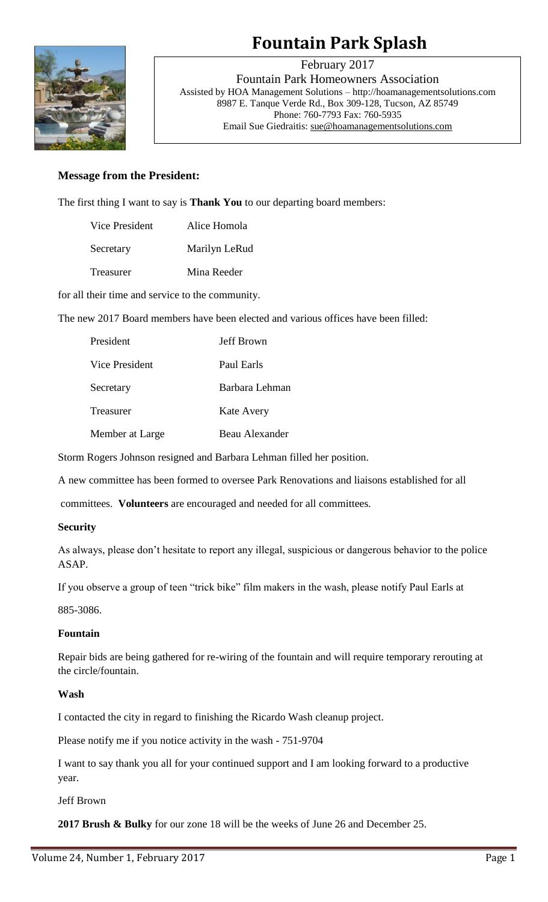# **Fountain Park Splash**



February 2017 Fountain Park Homeowners Association Assisted by HOA Management Solutions – http://hoamanagementsolutions.com 8987 E. Tanque Verde Rd., Box 309-128, Tucson, AZ 85749 Phone: 760-7793 Fax: 760-5935

Email Sue Giedraitis: [sue@hoamanagementsolutions.com](mailto:sue@hoamanagementsolutions.com)

# **Message from the President:**

The first thing I want to say is **Thank You** to our departing board members:

| Vice President | Alice Homola  |
|----------------|---------------|
| Secretary      | Marilyn LeRud |
| Treasurer      | Mina Reeder   |

for all their time and service to the community.

The new 2017 Board members have been elected and various offices have been filled:

| President       | <b>Jeff Brown</b> |
|-----------------|-------------------|
| Vice President  | Paul Earls        |
| Secretary       | Barbara Lehman    |
| Treasurer       | <b>Kate Avery</b> |
| Member at Large | Beau Alexander    |

Storm Rogers Johnson resigned and Barbara Lehman filled her position.

A new committee has been formed to oversee Park Renovations and liaisons established for all

committees. **Volunteers** are encouraged and needed for all committees.

## **Security**

As always, please don't hesitate to report any illegal, suspicious or dangerous behavior to the police ASAP.

If you observe a group of teen "trick bike" film makers in the wash, please notify Paul Earls at

885-3086.

# **Fountain**

Repair bids are being gathered for re-wiring of the fountain and will require temporary rerouting at the circle/fountain.

# **Wash**

I contacted the city in regard to finishing the Ricardo Wash cleanup project.

Please notify me if you notice activity in the wash - 751-9704

I want to say thank you all for your continued support and I am looking forward to a productive year.

Jeff Brown

**2017 Brush & Bulky** for our zone 18 will be the weeks of June 26 and December 25.